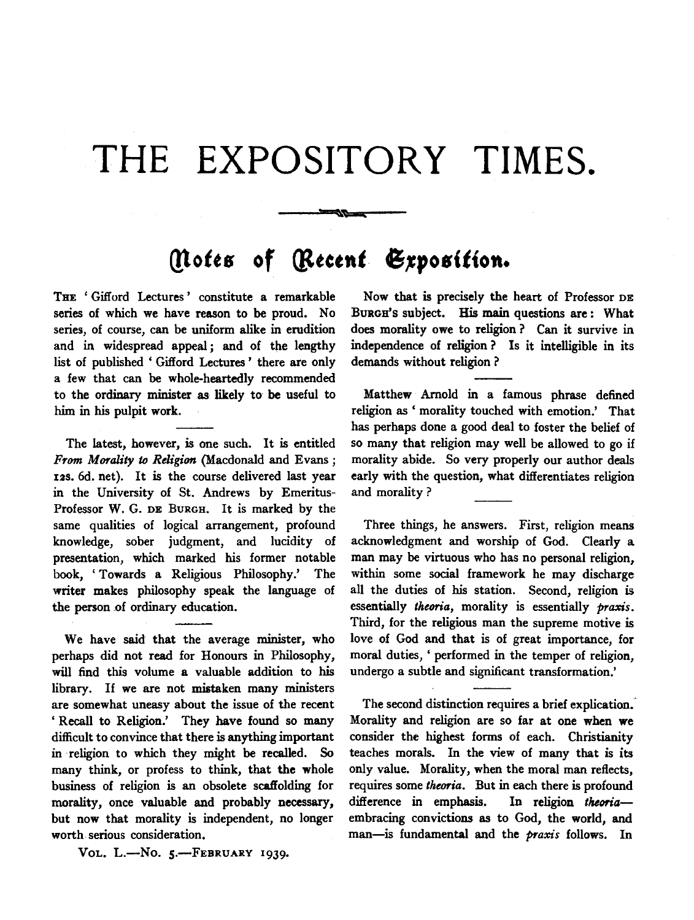## **THE EXPOSITORY TIMES.**

## *(!t.otts* **of** *{litctnt* **61position.**

""

THE 'Gifford Lectures' constitute a remarkable series of which we have reason to be proud. No series, of course, can be uniform alike in erudition and in widespread appeal *;* and of the lengthy list of published ' Gifford Lectures ' there are only a few that can be whole-heartedly recommended to the ordinary minister as likely to be useful to him in his pulpit work.

The latest, however, is one such. It is entitled *From Morality to Religion* (Macdonald and Evans; 12s. 6d. net). It is the course delivered last year in the University of St. Andrews by Emeritus-Professor W. G. DE BURGH. It is marked by the same qualities of logical arrangement, profound knowledge, sober judgment, and lucidity of presentation, which marked his former notable book, 'Towards a Religious Philosophy.' The writer makes philosophy speak the language of the person of ordinary education.

We have said that the average minister, who perhaps did not read for Honours in Philosophy, will find this volume a valuable addition to his library. If we are not mistaken many ministers are somewhat uneasy about the issue of the recent ' Recall to Religion.' They have found so many difficult to convince that there is anything important in religion to which they might be recalled. So many think, or profess to think, that the whole business of religion is an obsolete scaffolding for morality, once valuable and probably necessary, but now that morality is independent, no longer worth. serious consideration.

VOL. L.-No. 5.-FEBRUARY 1939.

Now that is precisely the heart of Professor DE BURGH'S subject. His main questions are : What does morality owe to religion ? Can it survive in independence of religion ? ls it intelligible in its demands without religion ?

Matthew Arnold in a famous phrase defined religion as ' morality touched with emotion.' That has perhaps done a good deal to foster the belief of so many that religion may well be allowed to go if morality abide. So very properly our author deals early with the question, what differentiates religion and morality ?

Three things, he answers. First, religion means acknowledgment and worship of God. Clearly a man may be virtuous who has no personal religion, within some social framework he may discharge all the duties of his station. Second, religion is essentially *theoria,* morality is essentially *praxis.*  Third, for the religious man the supreme motive is love of God and that is of great importance, for moral duties, 'performed in the temper of religion, undergo a subtle and significant transformation.'

The second distinction requires a brief explication. Morality and religion are so far at one when we consider the highest forms of each. Christianity teaches morals. In the view of many that is its only value. Morality, when the moral man reflects, requires some *theoria.* But in each there is profound difference in emphasis. In religion *theoria*embracing convictions as to God, the world, and man-is fundamental and the *praxis* follows. In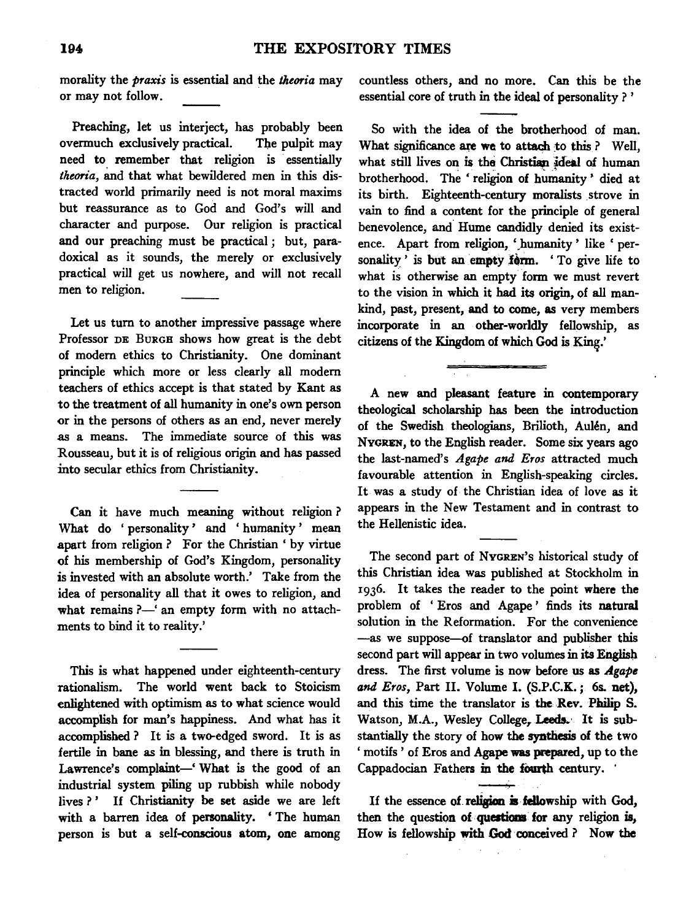morality the *praxis* is essential and the *theoria* may or may not follow.

Preaching, let us interject, has probably been overmuch exclusively practical. The pulpit may need to remember that religion is essentially *theoria,* and that what bewildered men in this distracted world primarily need is not moral maxims but reassurance as to God and God's will and character and purpose. Our religion is practical and our preaching must be practical ; but, paradoxical as it sounds, the merely or exclusively practical will get us nowhere, and will not recall men to religion.

Let us tum to another impressive passage where Professor DE BURGH shows how great is the debt of modem ethics to Christianity. One dominant principle which more or less clearly all modem teachers of ethics accept is that stated by Kant as to the treatment of all humanity in one's own person or in the persons of others as an end, never merely as a means. The immediate source of this was Rousseau, but it is of religious origin and has passed into secular ethics from Christianity.

Can it have much meaning without religion ? What do 'personality' and 'humanity' mean apart from religion ? For the Christian ' by virtue of his membership of God's Kingdom, personality is invested with an absolute worth.' Take from the idea of personality all that it owes to religion, and what remains  $?$ —' an empty form with no attachments to bind it to reality.'

This is what happened under eighteenth-century rationalism. The world went back to Stoicism enlightened with optimism as to what science would accomplish for man's happiness. And what has it accomplished ? It is a two-edged sword. It is as fertile in bane as in blessing, and there is truth in Lawrence's complaint-' What is the good of an industrial system piling up rubbish while nobody lives ?' If Christianity be set aside we are left with a barren idea of personality. ' The human person is but a self-conscious atom, one among

countless others, and no more. Can this be the essential core of truth in the ideal of personality ? '

So with the idea of the brotherhood of man. What significance are we to attach to this? Well, what still lives on is the Christian ideal of human brotherhood. The ' religion of humanity ' died at its birth. Eighteenth-century moralists strove in vain to find a content for the principle of general benevolence, and Hume candidly denied its existence. Apart from religion, 'humanity ' like ' personality' is but an empty form. 'To give life to what is otherwise an empty form we must revert to the vision in which it had its origin, of all mankind, past, present, and to come, as very members incorporate in an other-worldly fellowship, as citizens of the Kingdom of which God is King.'

A new and pleasant feature in contemporary theological scholarship has been the introduction of the Swedish theologians, Brilioth, Aulen, and NYGREN, to the English reader. Some six years ago the last-named's *Agape and Eros* attracted much favourable attention in English-speaking circles. It was a study of the Christian idea of love as it appears in the New Testament and in contrast to the Hellenistic idea.

The second part of NvGREN's historical study of this Christian idea was published at Stockholm in 1936. It takes the reader to the point where the problem of 'Eros and Agape' finds its natural solution in the Reformation. For the convenience -as we suppose-of translator and publisher this second part will appear in two volumes in its English dress. The first volume is now before us as *Agape and Eros,* Part II. Volume I. (S.P.C.K.; 6s. net), and this time the translator is the Rev. Philip S. Watson, M.A., Wesley College, Leeds. It is substantially the story of how the synthesis of the two ' motifs' of Eros and Agape was prepared, up to the Cappadocian Fathers in the fourth century.  $\cdot$ 

If the essence of religion  $\dot{a}$  fellowship with God, then the question of questions for any religion is, How is fellowship with God conceived? Now the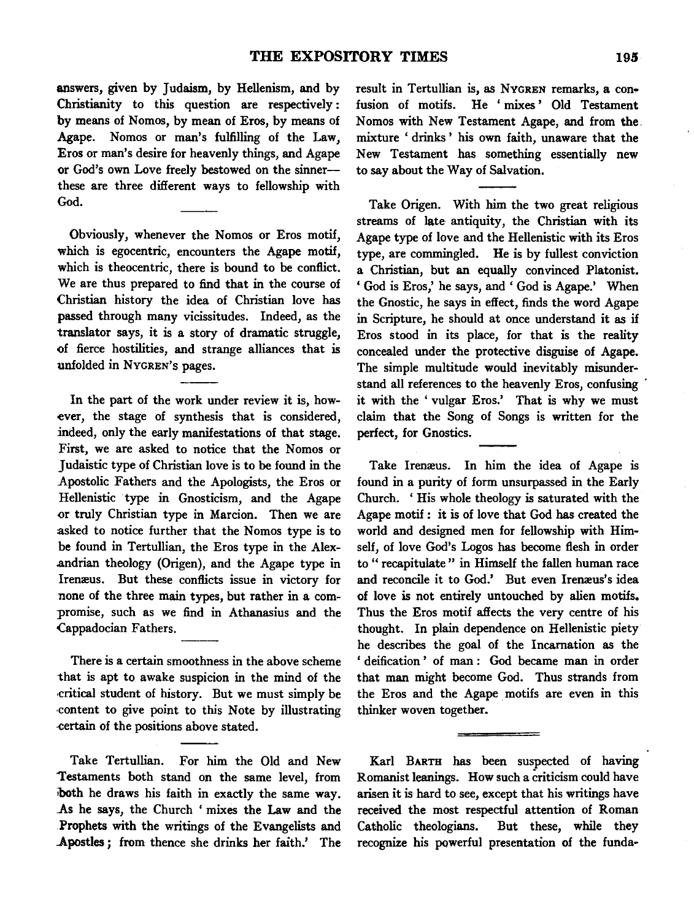answers, given by Judaism, by Hellenism, and by Christianity to this question are respectively : by means of Nomos, by mean of Eros, by means of Agape. Nomos or man's fulfilling of the Law, Eros or man's desire for heavenly things, and Agape or God's own Love freely bestowed on the sinnerthese are three different ways to fellowship with God.

Obviously, whenever the Nomos or Eros motif, which is egocentric, encounters the Agape motif, which is theocentric, there is bound to be conflict. We are thus prepared to find that in the course of Christian history the idea of Christian love has passed through many vicissitudes. Indeed, as the translator says, it is a story of dramatic struggle, of fierce hostilities, and strange alliances that is unfolded in NvGREN's pages.

In the part of the work under review it is, however, the stage of synthesis that is considered, indeed, only the early manifestations of that stage. First, we are asked to notice that the Nomos or Judaistic type of Christian love is to be found in the Apostolic Fathers and the Apologists, the Eros or Hellenistic type in Gnosticism, and the Agape or truly Christian type in Marcion. Then we are asked to notice further that the Nomos type is to be found in Tertullian, the Eros type in the Alex- .andrian theology (Origen), and the Agape type in Iremeus. But these conflicts issue in victory for none of the three main types, but rather in a compromise, such as we find in Athanasius and the Cappadocian Fathers.

There is a certain smoothness in the above scheme that is apt to awake suspicion in the mind of the .critical student of history. But we must simply be ·content to give point to this Note by illustrating -certain of the positions above stated.

Take Tertullian. For him the Old and New 'Testaments both stand on the same level, from iboth he draws his faith in exactly the same way. .As he says, the Church ' mixes the Law and the Prophets with the writings of the Evangelists and Apostles; from thence she drinks her faith.' The

result in Tertullian is, as NYGREN remarks, a confusion of motifs. He ' mixes ' Old Testament Nomos with New Testament Agape, and from the mixture ' drinks ' his own faith, unaware that the New Testament has something essentially new to say about the Way of Salvation.

Take Origen. With him the two great religious streams of late antiquity, the Christian with its Agape type of love and the Hellenistic with its Eros type, are commingled. He is by fullest conviction a Christian, but an equally convinced Platonist. ' God is Eros,' he says, and ' God is Agape.' When the Gnostic, he says in effect, finds the word Agape in Scripture, he should at once understand it as if Eros stood in its place, for that is the reality concealed under the protective disguise of Agape. The simple multitude would inevitably misunderstand all references to the heavenly Eros, confusing it with the ' vulgar Eros.' That is why we must claim that the Song of Songs is written for the perfect, for Gnostics.

Take Iremeus. In him the idea of Agape is found in a purity of form unsurpassed in the Early Church. ' His whole theology is saturated with the Agape motif : it is of love that God has created the world and designed men for fellowship with Himself, of love God's Logos has become flesh in order to " recapitulate " in Himself the fallen human race and reconcile it to God.' But even Irenæus's idea of love is not entirely untouched by alien motifs. Thus the Eros motif affects the very centre of his thought. In plain dependence on Hellenistic piety he describes the goal of the Incarnation as the ' deification ' of man : God became man in order that man might become God. Thus strands from the Eros and the Agape motifs are even in this thinker woven together.

Karl BARTH has been suspected of having Romanist leanings. How such a criticism could have arisen it is hard to see, except that his writings have received the most respectful attention of Roman Catholic theologians. But these, while they recognize his powerful presentation of the funda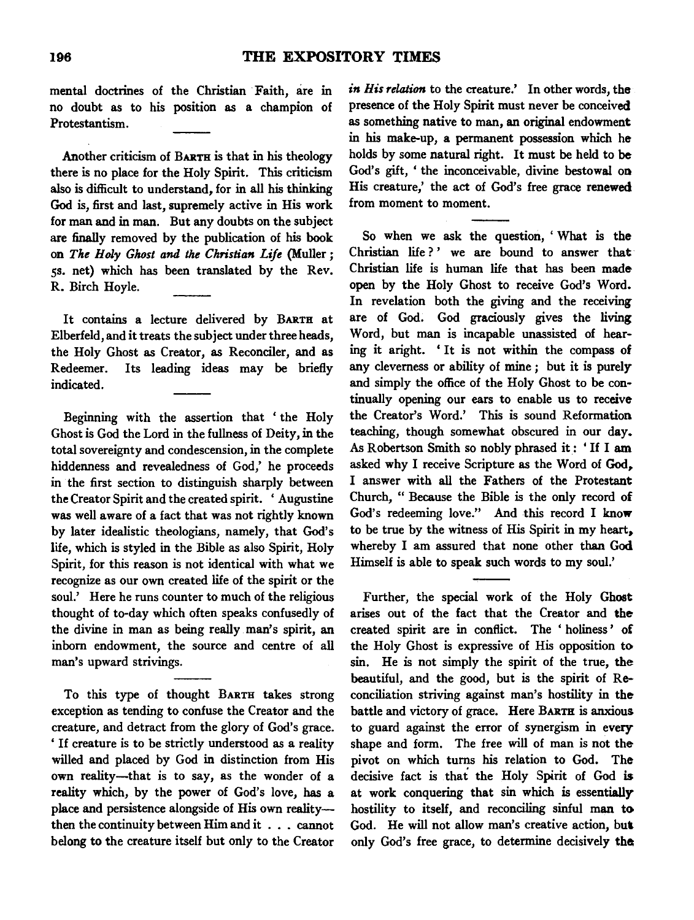mental doctrines of the Christian Faith, are in no doubt as to his position as a champion of Protestantism.

Another criticism of BARTH is that in his theology there is no place for the Holy Spirit. This criticism also is difficult to understand, for in all his thinking God is, first and last, supremely active in His work for man and in man. But any doubts on the subject are finally removed by the publication of his book on *The Holy Ghost and the Christian Life* {Muller; 5s. net) which has been translated by the Rev. R. Birch Hoyle.

It contains a lecture delivered by BARTH at Elberfeld, and it treats the subject under three heads, the Holy Ghost as Creator, as Reconciler, and as Redeemer. Its leading ideas may be briefly indicated.

Beginning with the assertion that ' the Holy Ghost is God the Lord in the fullness of Deity, in the total sovereignty and condescension, in the complete hiddenness and revealedness of God,' he proceeds in the first section to distinguish sharply between the Creator Spirit and the created spirit. ' Augustine was well aware of a fact that was not rightly known by later idealistic theologians, namely, that God's life, which is styled in the Bible as also Spirit, Holy Spirit, for this reason is not identical with what we recognize as our own created life of the spirit or the soul.' Here he runs counter to much of the religious thought of to-day which often speaks confusedly of the divine in man as being really man's spirit, an inborn endowment, the source and centre of all man's upward strivings.

To this type of thought BARTH takes strong exception as tending to confuse the Creator and the creature, and detract from the glory of God's grace. ' If creature is to be strictly understood as a reality willed and placed by God in distinction from His own reality-that is to say, as the wonder of a reality which, by the power of God's love, has a place and persistence alongside of His own realitythen the continuity between Him and it . . . cannot belong to the creature itself but only to the Creator

*in His relation* to the creature.' In other words, the presence of the Holy Spirit must never be conceived as something native to man, an original endowment in his make-up, a permanent possession which he holds by some natural right. It must be held to be God's gift, 'the inconceivable, divine bestowal on His creature,' the act of God's free grace renewed from moment to moment.

So when we ask the question, ' What is the Christian life?' we are bound to answer that Christian life is human life that has been made open by the Holy Ghost to receive God's Word. In revelation both the giving and the receiving are of God. God graciously gives the living Word, but man is incapable unassisted of hearing it aright. 'It is not within the compass of any cleverness or ability of mine ; but it is purely and simply the office of the Holy Ghost to be continually opening our ears to enable us to receive the Creator's Word.' This is sound Reformation teaching, though somewhat obscured in our day. As Robertson Smith so nobly phrased it : • If I am asked why I receive Scripture as the Word of God,. I answer with all the Fathers of the Protestant Church, " Because the Bible is the only record of God's redeeming love." And this record I know to be true by the witness of His Spirit in my heart, whereby I am assured that none other than God Himself is able to speak such words to my soul.'

Further, the special work of the Holy Ghost arises out of the fact that the Creator and the created spirit are in conflict. The ' holiness ' of the Holy Ghost is expressive of His opposition to sin. He is not simply the spirit of the true, the beautiful, and the good, but is the spirit of Reconciliation striving against man's hostility in the battle and victory of grace. Here BARTH is anxious to guard against the error of synergism in every shape and form. The free will of man is not the pivot on which turns his relation to God. The decisive fact is that the Holy Spirit of God is at work conquering that sin which is essentially hostility to itself, and reconciling sinful man to God. He will not allow man's creative action, but only God's free grace, to determine decisively the;